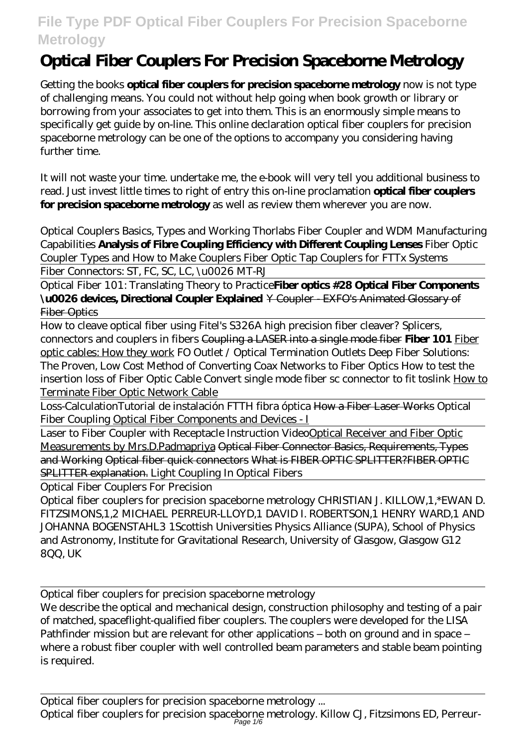# **Optical Fiber Couplers For Precision Spaceborne Metrology**

Getting the books **optical fiber couplers for precision spaceborne metrology** now is not type of challenging means. You could not without help going when book growth or library or borrowing from your associates to get into them. This is an enormously simple means to specifically get guide by on-line. This online declaration optical fiber couplers for precision spaceborne metrology can be one of the options to accompany you considering having further time.

It will not waste your time. undertake me, the e-book will very tell you additional business to read. Just invest little times to right of entry this on-line proclamation **optical fiber couplers for precision spaceborne metrology** as well as review them wherever you are now.

*Optical Couplers Basics, Types and Working Thorlabs Fiber Coupler and WDM Manufacturing Capabilities* **Analysis of Fibre Coupling Efficiency with Different Coupling Lenses** *Fiber Optic Coupler Types and How to Make Couplers Fiber Optic Tap Couplers for FTTx Systems*

Fiber Connectors: ST, FC, SC, LC, \u0026 MT-RJ

Optical Fiber 101: Translating Theory to Practice**Fiber optics #28 Optical Fiber Components \u0026 devices, Directional Coupler Explained** Y Coupler - EXFO's Animated Glossary of Fiber Optics

How to cleave optical fiber using Fitel's S326A high precision fiber cleaver? Splicers, connectors and couplers in fibers Coupling a LASER into a single mode fiber **Fiber 101** Fiber optic cables: How they work FO Outlet / Optical Termination Outlets *Deep Fiber Solutions: The Proven, Low Cost Method of Converting Coax Networks to Fiber Optics How to test the insertion loss of Fiber Optic Cable Convert single mode fiber sc connector to fit toslink* How to Terminate Fiber Optic Network Cable

Loss-Calculation*Tutorial de instalación FTTH fibra óptica* How a Fiber Laser Works Optical Fiber Coupling Optical Fiber Components and Devices - I

Laser to Fiber Coupler with Receptacle Instruction VideoOptical Receiver and Fiber Optic Measurements by Mrs.D.Padmapriya Optical Fiber Connector Basics, Requirements, Types and Working Optical fiber quick connectors What is FIBER OPTIC SPLITTER?FIBER OPTIC SPLITTER explanation. *Light Coupling In Optical Fibers*

Optical Fiber Couplers For Precision

Optical fiber couplers for precision spaceborne metrology CHRISTIAN J. KILLOW,1,\*EWAN D. FITZSIMONS,1,2 MICHAEL PERREUR-LLOYD,1 DAVID I. ROBERTSON,1 HENRY WARD,1 AND JOHANNA BOGENSTAHL3 1Scottish Universities Physics Alliance (SUPA), School of Physics and Astronomy, Institute for Gravitational Research, University of Glasgow, Glasgow G12 8QQ, UK

Optical fiber couplers for precision spaceborne metrology

We describe the optical and mechanical design, construction philosophy and testing of a pair of matched, spaceflight-qualified fiber couplers. The couplers were developed for the LISA Pathfinder mission but are relevant for other applications – both on ground and in space – where a robust fiber coupler with well controlled beam parameters and stable beam pointing is required.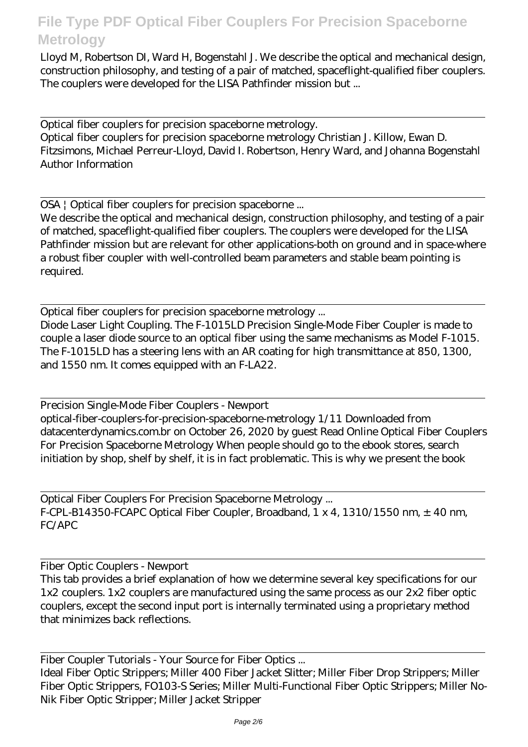Lloyd M, Robertson DI, Ward H, Bogenstahl J. We describe the optical and mechanical design, construction philosophy, and testing of a pair of matched, spaceflight-qualified fiber couplers. The couplers were developed for the LISA Pathfinder mission but ...

Optical fiber couplers for precision spaceborne metrology.

Optical fiber couplers for precision spaceborne metrology Christian J. Killow, Ewan D. Fitzsimons, Michael Perreur-Lloyd, David I. Robertson, Henry Ward, and Johanna Bogenstahl Author Information

OSA | Optical fiber couplers for precision spaceborne ...

We describe the optical and mechanical design, construction philosophy, and testing of a pair of matched, spaceflight-qualified fiber couplers. The couplers were developed for the LISA Pathfinder mission but are relevant for other applications-both on ground and in space-where a robust fiber coupler with well-controlled beam parameters and stable beam pointing is required.

Optical fiber couplers for precision spaceborne metrology ...

Diode Laser Light Coupling. The F-1015LD Precision Single-Mode Fiber Coupler is made to couple a laser diode source to an optical fiber using the same mechanisms as Model F-1015. The F-1015LD has a steering lens with an AR coating for high transmittance at 850, 1300, and 1550 nm. It comes equipped with an F-LA22.

Precision Single-Mode Fiber Couplers - Newport optical-fiber-couplers-for-precision-spaceborne-metrology 1/11 Downloaded from datacenterdynamics.com.br on October 26, 2020 by guest Read Online Optical Fiber Couplers For Precision Spaceborne Metrology When people should go to the ebook stores, search initiation by shop, shelf by shelf, it is in fact problematic. This is why we present the book

Optical Fiber Couplers For Precision Spaceborne Metrology ... F-CPL-B14350-FCAPC Optical Fiber Coupler, Broadband, 1 x 4, 1310/1550 nm,  $\pm$  40 nm, FC/APC

Fiber Optic Couplers - Newport

This tab provides a brief explanation of how we determine several key specifications for our 1x2 couplers. 1x2 couplers are manufactured using the same process as our 2x2 fiber optic couplers, except the second input port is internally terminated using a proprietary method that minimizes back reflections.

Fiber Coupler Tutorials - Your Source for Fiber Optics ... Ideal Fiber Optic Strippers; Miller 400 Fiber Jacket Slitter; Miller Fiber Drop Strippers; Miller Fiber Optic Strippers, FO103-S Series; Miller Multi-Functional Fiber Optic Strippers; Miller No-Nik Fiber Optic Stripper; Miller Jacket Stripper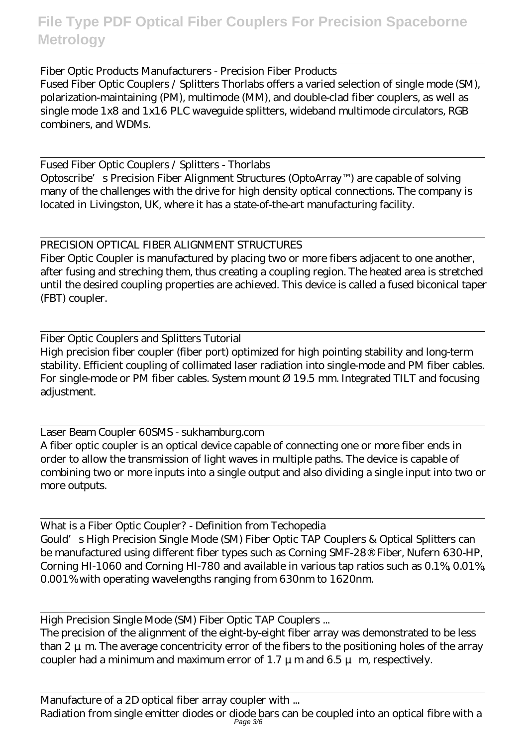Fiber Optic Products Manufacturers - Precision Fiber Products Fused Fiber Optic Couplers / Splitters Thorlabs offers a varied selection of single mode (SM), polarization-maintaining (PM), multimode (MM), and double-clad fiber couplers, as well as single mode 1x8 and 1x16 PLC waveguide splitters, wideband multimode circulators, RGB combiners, and WDMs.

Fused Fiber Optic Couplers / Splitters - Thorlabs Optoscribe's Precision Fiber Alignment Structures (OptoArray™) are capable of solving many of the challenges with the drive for high density optical connections. The company is located in Livingston, UK, where it has a state-of-the-art manufacturing facility.

#### PRECISION OPTICAL FIBER ALIGNMENT STRUCTURES

Fiber Optic Coupler is manufactured by placing two or more fibers adjacent to one another, after fusing and streching them, thus creating a coupling region. The heated area is stretched until the desired coupling properties are achieved. This device is called a fused biconical taper (FBT) coupler.

Fiber Optic Couplers and Splitters Tutorial High precision fiber coupler (fiber port) optimized for high pointing stability and long-term stability. Efficient coupling of collimated laser radiation into single-mode and PM fiber cables. For single-mode or PM fiber cables. System mount Ø 19.5 mm. Integrated TILT and focusing adjustment.

Laser Beam Coupler 60SMS - sukhamburg.com A fiber optic coupler is an optical device capable of connecting one or more fiber ends in order to allow the transmission of light waves in multiple paths. The device is capable of combining two or more inputs into a single output and also dividing a single input into two or more outputs.

What is a Fiber Optic Coupler? - Definition from Techopedia Gould's High Precision Single Mode (SM) Fiber Optic TAP Couplers & Optical Splitters can be manufactured using different fiber types such as Corning SMF-28® Fiber, Nufern 630-HP, Corning HI-1060 and Corning HI-780 and available in various tap ratios such as 0.1%, 0.01%, 0.001% with operating wavelengths ranging from 630nm to 1620nm.

High Precision Single Mode (SM) Fiber Optic TAP Couplers ...

The precision of the alignment of the eight-by-eight fiber array was demonstrated to be less than  $2 \mu$  m. The average concentricity error of the fibers to the positioning holes of the array coupler had a minimum and maximum error of 1.7  $\mu$  m and 6.5  $\mu$  m, respectively.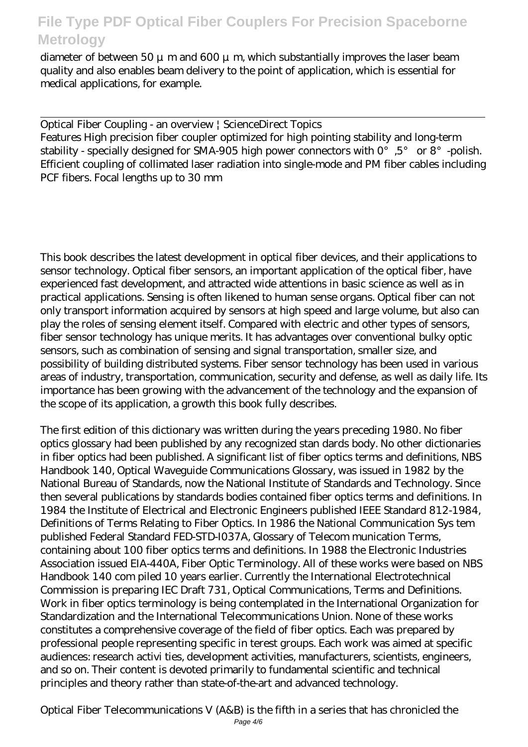diameter of between 50  $\mu$  m and 600  $\mu$  m, which substantially improves the laser beam quality and also enables beam delivery to the point of application, which is essential for medical applications, for example.

Optical Fiber Coupling - an overview | ScienceDirect Topics Features High precision fiber coupler optimized for high pointing stability and long-term stability - specially designed for SMA-905 high power connectors with  $0^{\circ}$ ,  $5^{\circ}$  or  $8^{\circ}$  -polish. Efficient coupling of collimated laser radiation into single-mode and PM fiber cables including PCF fibers. Focal lengths up to 30 mm

This book describes the latest development in optical fiber devices, and their applications to sensor technology. Optical fiber sensors, an important application of the optical fiber, have experienced fast development, and attracted wide attentions in basic science as well as in practical applications. Sensing is often likened to human sense organs. Optical fiber can not only transport information acquired by sensors at high speed and large volume, but also can play the roles of sensing element itself. Compared with electric and other types of sensors, fiber sensor technology has unique merits. It has advantages over conventional bulky optic sensors, such as combination of sensing and signal transportation, smaller size, and possibility of building distributed systems. Fiber sensor technology has been used in various areas of industry, transportation, communication, security and defense, as well as daily life. Its importance has been growing with the advancement of the technology and the expansion of the scope of its application, a growth this book fully describes.

The first edition of this dictionary was written during the years preceding 1980. No fiber optics glossary had been published by any recognized stan dards body. No other dictionaries in fiber optics had been published. A significant list of fiber optics terms and definitions, NBS Handbook 140, Optical Waveguide Communications Glossary, was issued in 1982 by the National Bureau of Standards, now the National Institute of Standards and Technology. Since then several publications by standards bodies contained fiber optics terms and definitions. In 1984 the Institute of Electrical and Electronic Engineers published IEEE Standard 812-1984, Definitions of Terms Relating to Fiber Optics. In 1986 the National Communication Sys tem published Federal Standard FED-STD-I037A, Glossary of Telecom munication Terms, containing about 100 fiber optics terms and definitions. In 1988 the Electronic Industries Association issued EIA-440A, Fiber Optic Terminology. All of these works were based on NBS Handbook 140 com piled 10 years earlier. Currently the International Electrotechnical Commission is preparing IEC Draft 731, Optical Communications, Terms and Definitions. Work in fiber optics terminology is being contemplated in the International Organization for Standardization and the International Telecommunications Union. None of these works constitutes a comprehensive coverage of the field of fiber optics. Each was prepared by professional people representing specific in terest groups. Each work was aimed at specific audiences: research activi ties, development activities, manufacturers, scientists, engineers, and so on. Their content is devoted primarily to fundamental scientific and technical principles and theory rather than state-of-the-art and advanced technology.

Optical Fiber Telecommunications V (A&B) is the fifth in a series that has chronicled the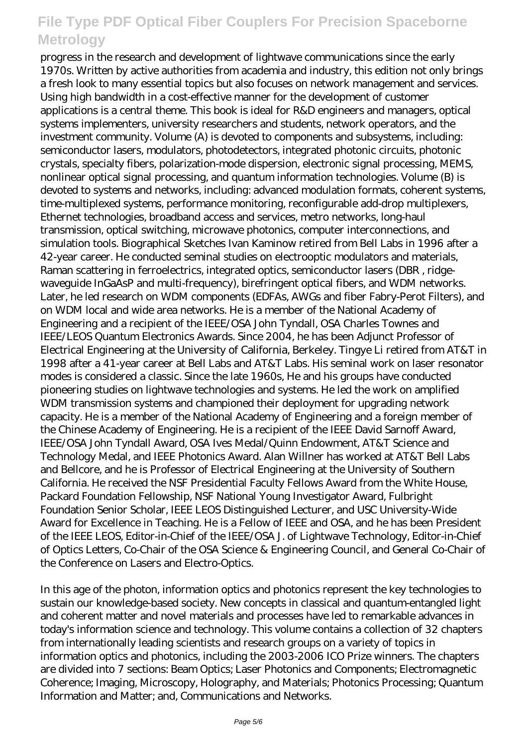progress in the research and development of lightwave communications since the early 1970s. Written by active authorities from academia and industry, this edition not only brings a fresh look to many essential topics but also focuses on network management and services. Using high bandwidth in a cost-effective manner for the development of customer applications is a central theme. This book is ideal for R&D engineers and managers, optical systems implementers, university researchers and students, network operators, and the investment community. Volume (A) is devoted to components and subsystems, including: semiconductor lasers, modulators, photodetectors, integrated photonic circuits, photonic crystals, specialty fibers, polarization-mode dispersion, electronic signal processing, MEMS, nonlinear optical signal processing, and quantum information technologies. Volume (B) is devoted to systems and networks, including: advanced modulation formats, coherent systems, time-multiplexed systems, performance monitoring, reconfigurable add-drop multiplexers, Ethernet technologies, broadband access and services, metro networks, long-haul transmission, optical switching, microwave photonics, computer interconnections, and simulation tools. Biographical Sketches Ivan Kaminow retired from Bell Labs in 1996 after a 42-year career. He conducted seminal studies on electrooptic modulators and materials, Raman scattering in ferroelectrics, integrated optics, semiconductor lasers (DBR , ridgewaveguide InGaAsP and multi-frequency), birefringent optical fibers, and WDM networks. Later, he led research on WDM components (EDFAs, AWGs and fiber Fabry-Perot Filters), and on WDM local and wide area networks. He is a member of the National Academy of Engineering and a recipient of the IEEE/OSA John Tyndall, OSA Charles Townes and IEEE/LEOS Quantum Electronics Awards. Since 2004, he has been Adjunct Professor of Electrical Engineering at the University of California, Berkeley. Tingye Li retired from AT&T in 1998 after a 41-year career at Bell Labs and AT&T Labs. His seminal work on laser resonator modes is considered a classic. Since the late 1960s, He and his groups have conducted pioneering studies on lightwave technologies and systems. He led the work on amplified WDM transmission systems and championed their deployment for upgrading network capacity. He is a member of the National Academy of Engineering and a foreign member of the Chinese Academy of Engineering. He is a recipient of the IEEE David Sarnoff Award, IEEE/OSA John Tyndall Award, OSA Ives Medal/Quinn Endowment, AT&T Science and Technology Medal, and IEEE Photonics Award. Alan Willner has worked at AT&T Bell Labs and Bellcore, and he is Professor of Electrical Engineering at the University of Southern California. He received the NSF Presidential Faculty Fellows Award from the White House, Packard Foundation Fellowship, NSF National Young Investigator Award, Fulbright Foundation Senior Scholar, IEEE LEOS Distinguished Lecturer, and USC University-Wide Award for Excellence in Teaching. He is a Fellow of IEEE and OSA, and he has been President of the IEEE LEOS, Editor-in-Chief of the IEEE/OSA J. of Lightwave Technology, Editor-in-Chief of Optics Letters, Co-Chair of the OSA Science & Engineering Council, and General Co-Chair of the Conference on Lasers and Electro-Optics.

In this age of the photon, information optics and photonics represent the key technologies to sustain our knowledge-based society. New concepts in classical and quantum-entangled light and coherent matter and novel materials and processes have led to remarkable advances in today's information science and technology. This volume contains a collection of 32 chapters from internationally leading scientists and research groups on a variety of topics in information optics and photonics, including the 2003-2006 ICO Prize winners. The chapters are divided into 7 sections: Beam Optics; Laser Photonics and Components; Electromagnetic Coherence; Imaging, Microscopy, Holography, and Materials; Photonics Processing; Quantum Information and Matter; and, Communications and Networks.